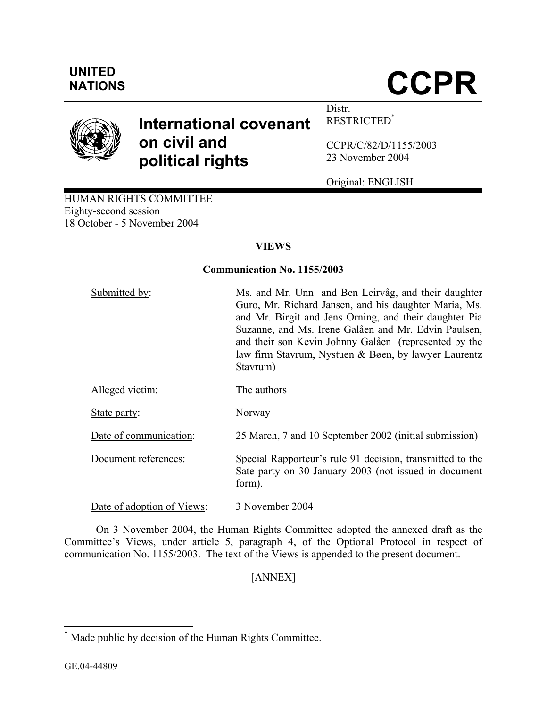# NATIONS **CCPR**



# **International covenant on civil and political rights**

RESTRICTED\* CCPR/C/82/D/1155/2003

Distr.

23 November 2004

Original: ENGLISH

HUMAN RIGHTS COMMITTEE Eighty-second session 18 October - 5 November 2004

# **VIEWS**

#### **Communication No. 1155/2003**

| Submitted by:              | Ms. and Mr. Unn and Ben Leirvåg, and their daughter<br>Guro, Mr. Richard Jansen, and his daughter Maria, Ms.<br>and Mr. Birgit and Jens Orning, and their daughter Pia<br>Suzanne, and Ms. Irene Galåen and Mr. Edvin Paulsen,<br>and their son Kevin Johnny Galåen (represented by the<br>law firm Stavrum, Nystuen & Bøen, by lawyer Laurentz<br>Stavrum) |
|----------------------------|-------------------------------------------------------------------------------------------------------------------------------------------------------------------------------------------------------------------------------------------------------------------------------------------------------------------------------------------------------------|
| Alleged victim:            | The authors                                                                                                                                                                                                                                                                                                                                                 |
| State party:               | Norway                                                                                                                                                                                                                                                                                                                                                      |
| Date of communication:     | 25 March, 7 and 10 September 2002 (initial submission)                                                                                                                                                                                                                                                                                                      |
| Document references:       | Special Rapporteur's rule 91 decision, transmitted to the<br>Sate party on 30 January 2003 (not issued in document<br>form).                                                                                                                                                                                                                                |
| Date of adoption of Views: | 3 November 2004                                                                                                                                                                                                                                                                                                                                             |

On 3 November 2004, the Human Rights Committee adopted the annexed draft as the Committee's Views, under article 5, paragraph 4, of the Optional Protocol in respect of communication No. 1155/2003. The text of the Views is appended to the present document.

# [ANNEX]

 \* Made public by decision of the Human Rights Committee.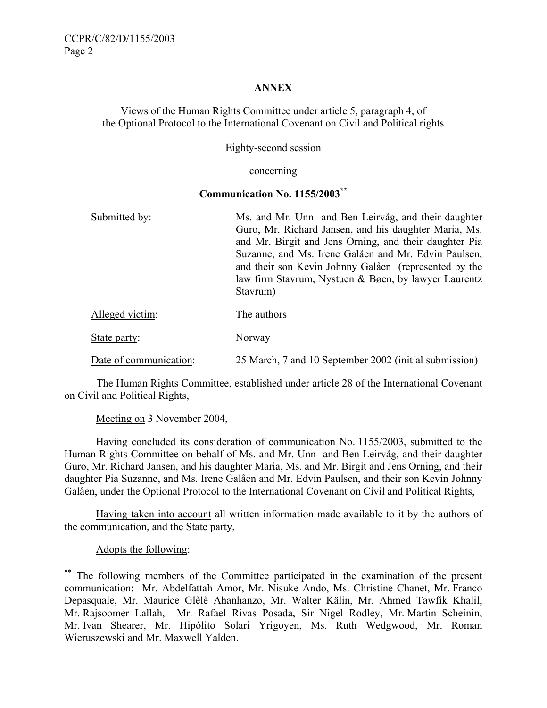#### **ANNEX**

Views of the Human Rights Committee under article 5, paragraph 4, of the Optional Protocol to the International Covenant on Civil and Political rights

Eighty-second session

concerning

#### **Communication No. 1155/2003\*\***

| Submitted by:   | Ms. and Mr. Unn and Ben Leirvåg, and their daughter<br>Guro, Mr. Richard Jansen, and his daughter Maria, Ms.<br>and Mr. Birgit and Jens Orning, and their daughter Pia<br>Suzanne, and Ms. Irene Galåen and Mr. Edvin Paulsen,<br>and their son Kevin Johnny Galåen (represented by the<br>law firm Stavrum, Nystuen & Bøen, by lawyer Laurentz |
|-----------------|-------------------------------------------------------------------------------------------------------------------------------------------------------------------------------------------------------------------------------------------------------------------------------------------------------------------------------------------------|
| Alleged victim: | Stavrum)<br>The authors                                                                                                                                                                                                                                                                                                                         |
| State party:    | Norway                                                                                                                                                                                                                                                                                                                                          |

Date of communication: 25 March, 7 and 10 September 2002 (initial submission)

The Human Rights Committee, established under article 28 of the International Covenant on Civil and Political Rights,

Meeting on 3 November 2004,

 Having concluded its consideration of communication No. 1155/2003, submitted to the Human Rights Committee on behalf of Ms. and Mr. Unn and Ben Leirvåg, and their daughter Guro, Mr. Richard Jansen, and his daughter Maria, Ms. and Mr. Birgit and Jens Orning, and their daughter Pia Suzanne, and Ms. Irene Galåen and Mr. Edvin Paulsen, and their son Kevin Johnny Galåen, under the Optional Protocol to the International Covenant on Civil and Political Rights,

 Having taken into account all written information made available to it by the authors of the communication, and the State party,

Adopts the following:

 $\overline{a}$ 

The following members of the Committee participated in the examination of the present communication: Mr. Abdelfattah Amor, Mr. Nisuke Ando, Ms. Christine Chanet, Mr. Franco Depasquale, Mr. Maurice Glèlè Ahanhanzo, Mr. Walter Kälin, Mr. Ahmed Tawfik Khalil, Mr. Rajsoomer Lallah, Mr. Rafael Rivas Posada, Sir Nigel Rodley, Mr. Martin Scheinin, Mr. Ivan Shearer, Mr. Hipólito Solari Yrigoyen, Ms. Ruth Wedgwood, Mr. Roman Wieruszewski and Mr. Maxwell Yalden.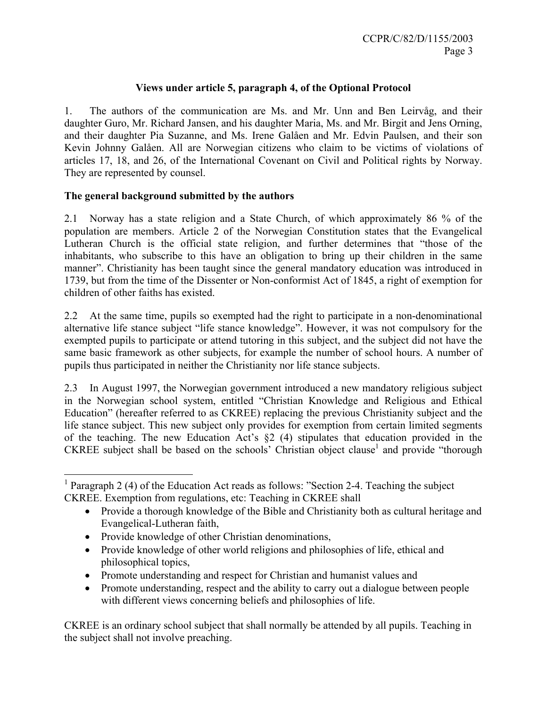#### **Views under article 5, paragraph 4, of the Optional Protocol**

1. The authors of the communication are Ms. and Mr. Unn and Ben Leirvåg, and their daughter Guro, Mr. Richard Jansen, and his daughter Maria, Ms. and Mr. Birgit and Jens Orning, and their daughter Pia Suzanne, and Ms. Irene Galåen and Mr. Edvin Paulsen, and their son Kevin Johnny Galåen. All are Norwegian citizens who claim to be victims of violations of articles 17, 18, and 26, of the International Covenant on Civil and Political rights by Norway. They are represented by counsel.

#### **The general background submitted by the authors**

2.1 Norway has a state religion and a State Church, of which approximately 86 % of the population are members. Article 2 of the Norwegian Constitution states that the Evangelical Lutheran Church is the official state religion, and further determines that "those of the inhabitants, who subscribe to this have an obligation to bring up their children in the same manner". Christianity has been taught since the general mandatory education was introduced in 1739, but from the time of the Dissenter or Non-conformist Act of 1845, a right of exemption for children of other faiths has existed.

2.2 At the same time, pupils so exempted had the right to participate in a non-denominational alternative life stance subject "life stance knowledge". However, it was not compulsory for the exempted pupils to participate or attend tutoring in this subject, and the subject did not have the same basic framework as other subjects, for example the number of school hours. A number of pupils thus participated in neither the Christianity nor life stance subjects.

2.3 In August 1997, the Norwegian government introduced a new mandatory religious subject in the Norwegian school system, entitled "Christian Knowledge and Religious and Ethical Education" (hereafter referred to as CKREE) replacing the previous Christianity subject and the life stance subject. This new subject only provides for exemption from certain limited segments of the teaching. The new Education Act's §2 (4) stipulates that education provided in the CKREE subject shall be based on the schools' Christian object clause<sup>1</sup> and provide "thorough

- Provide a thorough knowledge of the Bible and Christianity both as cultural heritage and Evangelical-Lutheran faith,
- Provide knowledge of other Christian denominations,

 $\overline{a}$ 

- Provide knowledge of other world religions and philosophies of life, ethical and philosophical topics,
- Promote understanding and respect for Christian and humanist values and
- Promote understanding, respect and the ability to carry out a dialogue between people with different views concerning beliefs and philosophies of life.

CKREE is an ordinary school subject that shall normally be attended by all pupils. Teaching in the subject shall not involve preaching.

<sup>&</sup>lt;sup>1</sup> Paragraph 2 (4) of the Education Act reads as follows: "Section 2-4. Teaching the subject CKREE. Exemption from regulations, etc: Teaching in CKREE shall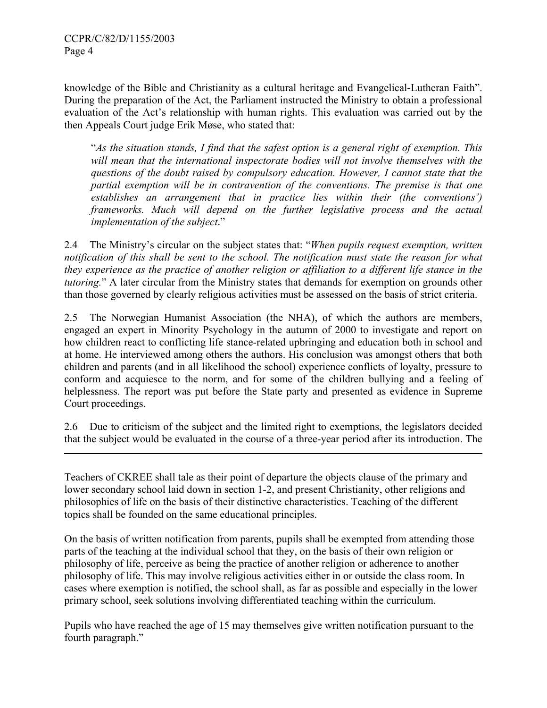$\overline{a}$ 

knowledge of the Bible and Christianity as a cultural heritage and Evangelical-Lutheran Faith". During the preparation of the Act, the Parliament instructed the Ministry to obtain a professional evaluation of the Act's relationship with human rights. This evaluation was carried out by the then Appeals Court judge Erik Møse, who stated that:

"*As the situation stands, I find that the safest option is a general right of exemption. This*  will mean that the international inspectorate bodies will not involve themselves with the *questions of the doubt raised by compulsory education. However, I cannot state that the partial exemption will be in contravention of the conventions. The premise is that one establishes an arrangement that in practice lies within their (the conventions') frameworks. Much will depend on the further legislative process and the actual implementation of the subject*."

2.4 The Ministry's circular on the subject states that: "*When pupils request exemption, written notification of this shall be sent to the school. The notification must state the reason for what they experience as the practice of another religion or affiliation to a different life stance in the tutoring.*" A later circular from the Ministry states that demands for exemption on grounds other than those governed by clearly religious activities must be assessed on the basis of strict criteria.

2.5 The Norwegian Humanist Association (the NHA), of which the authors are members, engaged an expert in Minority Psychology in the autumn of 2000 to investigate and report on how children react to conflicting life stance-related upbringing and education both in school and at home. He interviewed among others the authors. His conclusion was amongst others that both children and parents (and in all likelihood the school) experience conflicts of loyalty, pressure to conform and acquiesce to the norm, and for some of the children bullying and a feeling of helplessness. The report was put before the State party and presented as evidence in Supreme Court proceedings.

2.6 Due to criticism of the subject and the limited right to exemptions, the legislators decided that the subject would be evaluated in the course of a three-year period after its introduction. The

Teachers of CKREE shall tale as their point of departure the objects clause of the primary and lower secondary school laid down in section 1-2, and present Christianity, other religions and philosophies of life on the basis of their distinctive characteristics. Teaching of the different topics shall be founded on the same educational principles.

On the basis of written notification from parents, pupils shall be exempted from attending those parts of the teaching at the individual school that they, on the basis of their own religion or philosophy of life, perceive as being the practice of another religion or adherence to another philosophy of life. This may involve religious activities either in or outside the class room. In cases where exemption is notified, the school shall, as far as possible and especially in the lower primary school, seek solutions involving differentiated teaching within the curriculum.

Pupils who have reached the age of 15 may themselves give written notification pursuant to the fourth paragraph."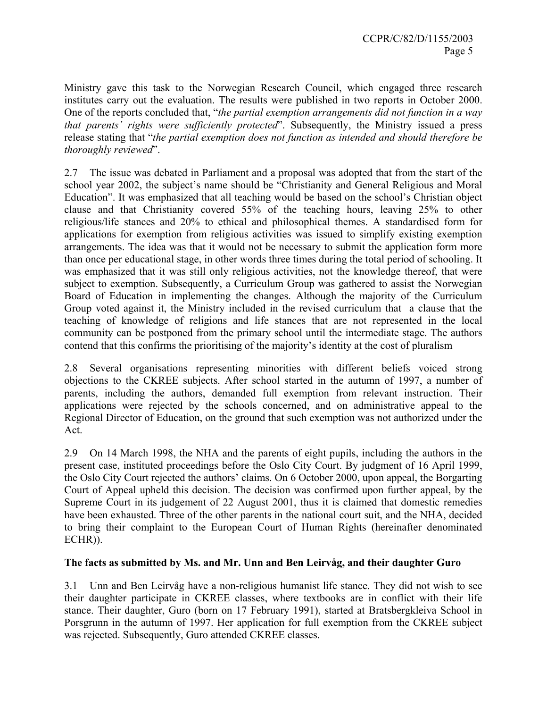Ministry gave this task to the Norwegian Research Council, which engaged three research institutes carry out the evaluation. The results were published in two reports in October 2000. One of the reports concluded that, "*the partial exemption arrangements did not function in a way that parents' rights were sufficiently protected*". Subsequently, the Ministry issued a press release stating that "*the partial exemption does not function as intended and should therefore be thoroughly reviewed*".

2.7 The issue was debated in Parliament and a proposal was adopted that from the start of the school year 2002, the subject's name should be "Christianity and General Religious and Moral Education". It was emphasized that all teaching would be based on the school's Christian object clause and that Christianity covered 55% of the teaching hours, leaving 25% to other religious/life stances and 20% to ethical and philosophical themes. A standardised form for applications for exemption from religious activities was issued to simplify existing exemption arrangements. The idea was that it would not be necessary to submit the application form more than once per educational stage, in other words three times during the total period of schooling. It was emphasized that it was still only religious activities, not the knowledge thereof, that were subject to exemption. Subsequently, a Curriculum Group was gathered to assist the Norwegian Board of Education in implementing the changes. Although the majority of the Curriculum Group voted against it, the Ministry included in the revised curriculum that a clause that the teaching of knowledge of religions and life stances that are not represented in the local community can be postponed from the primary school until the intermediate stage. The authors contend that this confirms the prioritising of the majority's identity at the cost of pluralism

2.8 Several organisations representing minorities with different beliefs voiced strong objections to the CKREE subjects. After school started in the autumn of 1997, a number of parents, including the authors, demanded full exemption from relevant instruction. Their applications were rejected by the schools concerned, and on administrative appeal to the Regional Director of Education, on the ground that such exemption was not authorized under the Act.

2.9 On 14 March 1998, the NHA and the parents of eight pupils, including the authors in the present case, instituted proceedings before the Oslo City Court. By judgment of 16 April 1999, the Oslo City Court rejected the authors' claims. On 6 October 2000, upon appeal, the Borgarting Court of Appeal upheld this decision. The decision was confirmed upon further appeal, by the Supreme Court in its judgement of 22 August 2001, thus it is claimed that domestic remedies have been exhausted. Three of the other parents in the national court suit, and the NHA, decided to bring their complaint to the European Court of Human Rights (hereinafter denominated ECHR)).

#### **The facts as submitted by Ms. and Mr. Unn and Ben Leirvåg, and their daughter Guro**

3.1 Unn and Ben Leirvåg have a non-religious humanist life stance. They did not wish to see their daughter participate in CKREE classes, where textbooks are in conflict with their life stance. Their daughter, Guro (born on 17 February 1991), started at Bratsbergkleiva School in Porsgrunn in the autumn of 1997. Her application for full exemption from the CKREE subject was rejected. Subsequently, Guro attended CKREE classes.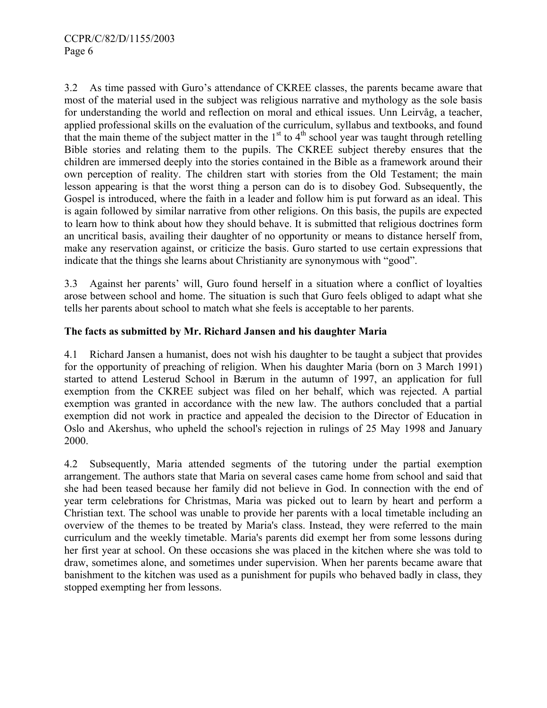3.2 As time passed with Guro's attendance of CKREE classes, the parents became aware that most of the material used in the subject was religious narrative and mythology as the sole basis for understanding the world and reflection on moral and ethical issues. Unn Leirvåg, a teacher, applied professional skills on the evaluation of the curriculum, syllabus and textbooks, and found that the main theme of the subject matter in the  $1<sup>st</sup>$  to  $4<sup>th</sup>$  school year was taught through retelling Bible stories and relating them to the pupils. The CKREE subject thereby ensures that the children are immersed deeply into the stories contained in the Bible as a framework around their own perception of reality. The children start with stories from the Old Testament; the main lesson appearing is that the worst thing a person can do is to disobey God. Subsequently, the Gospel is introduced, where the faith in a leader and follow him is put forward as an ideal. This is again followed by similar narrative from other religions. On this basis, the pupils are expected to learn how to think about how they should behave. It is submitted that religious doctrines form an uncritical basis, availing their daughter of no opportunity or means to distance herself from, make any reservation against, or criticize the basis. Guro started to use certain expressions that indicate that the things she learns about Christianity are synonymous with "good".

3.3 Against her parents' will, Guro found herself in a situation where a conflict of loyalties arose between school and home. The situation is such that Guro feels obliged to adapt what she tells her parents about school to match what she feels is acceptable to her parents.

#### **The facts as submitted by Mr. Richard Jansen and his daughter Maria**

4.1 Richard Jansen a humanist, does not wish his daughter to be taught a subject that provides for the opportunity of preaching of religion. When his daughter Maria (born on 3 March 1991) started to attend Lesterud School in Bærum in the autumn of 1997, an application for full exemption from the CKREE subject was filed on her behalf, which was rejected. A partial exemption was granted in accordance with the new law. The authors concluded that a partial exemption did not work in practice and appealed the decision to the Director of Education in Oslo and Akershus, who upheld the school's rejection in rulings of 25 May 1998 and January 2000.

4.2 Subsequently, Maria attended segments of the tutoring under the partial exemption arrangement. The authors state that Maria on several cases came home from school and said that she had been teased because her family did not believe in God. In connection with the end of year term celebrations for Christmas, Maria was picked out to learn by heart and perform a Christian text. The school was unable to provide her parents with a local timetable including an overview of the themes to be treated by Maria's class. Instead, they were referred to the main curriculum and the weekly timetable. Maria's parents did exempt her from some lessons during her first year at school. On these occasions she was placed in the kitchen where she was told to draw, sometimes alone, and sometimes under supervision. When her parents became aware that banishment to the kitchen was used as a punishment for pupils who behaved badly in class, they stopped exempting her from lessons.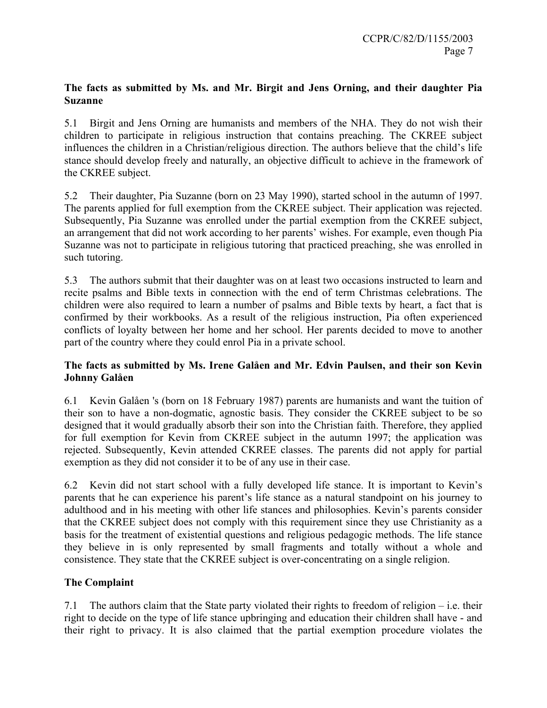#### **The facts as submitted by Ms. and Mr. Birgit and Jens Orning, and their daughter Pia Suzanne**

5.1 Birgit and Jens Orning are humanists and members of the NHA. They do not wish their children to participate in religious instruction that contains preaching. The CKREE subject influences the children in a Christian/religious direction. The authors believe that the child's life stance should develop freely and naturally, an objective difficult to achieve in the framework of the CKREE subject.

5.2 Their daughter, Pia Suzanne (born on 23 May 1990), started school in the autumn of 1997. The parents applied for full exemption from the CKREE subject. Their application was rejected. Subsequently, Pia Suzanne was enrolled under the partial exemption from the CKREE subject, an arrangement that did not work according to her parents' wishes. For example, even though Pia Suzanne was not to participate in religious tutoring that practiced preaching, she was enrolled in such tutoring.

5.3 The authors submit that their daughter was on at least two occasions instructed to learn and recite psalms and Bible texts in connection with the end of term Christmas celebrations. The children were also required to learn a number of psalms and Bible texts by heart, a fact that is confirmed by their workbooks. As a result of the religious instruction, Pia often experienced conflicts of loyalty between her home and her school. Her parents decided to move to another part of the country where they could enrol Pia in a private school.

#### **The facts as submitted by Ms. Irene Galåen and Mr. Edvin Paulsen, and their son Kevin Johnny Galåen**

6.1 Kevin Galåen 's (born on 18 February 1987) parents are humanists and want the tuition of their son to have a non-dogmatic, agnostic basis. They consider the CKREE subject to be so designed that it would gradually absorb their son into the Christian faith. Therefore, they applied for full exemption for Kevin from CKREE subject in the autumn 1997; the application was rejected. Subsequently, Kevin attended CKREE classes. The parents did not apply for partial exemption as they did not consider it to be of any use in their case.

6.2 Kevin did not start school with a fully developed life stance. It is important to Kevin's parents that he can experience his parent's life stance as a natural standpoint on his journey to adulthood and in his meeting with other life stances and philosophies. Kevin's parents consider that the CKREE subject does not comply with this requirement since they use Christianity as a basis for the treatment of existential questions and religious pedagogic methods. The life stance they believe in is only represented by small fragments and totally without a whole and consistence. They state that the CKREE subject is over-concentrating on a single religion.

### **The Complaint**

7.1 The authors claim that the State party violated their rights to freedom of religion – i.e. their right to decide on the type of life stance upbringing and education their children shall have - and their right to privacy. It is also claimed that the partial exemption procedure violates the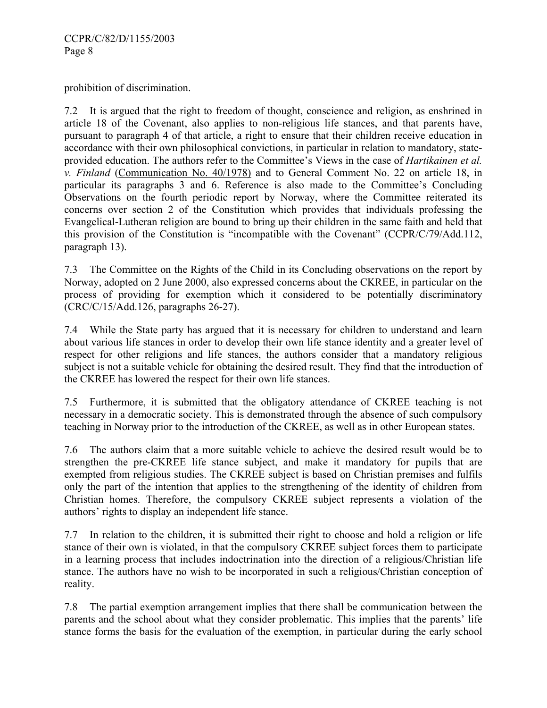prohibition of discrimination.

7.2 It is argued that the right to freedom of thought, conscience and religion, as enshrined in article 18 of the Covenant, also applies to non-religious life stances, and that parents have, pursuant to paragraph 4 of that article, a right to ensure that their children receive education in accordance with their own philosophical convictions, in particular in relation to mandatory, stateprovided education. The authors refer to the Committee's Views in the case of *Hartikainen et al. v. Finland* (Communication No. 40/1978) and to General Comment No. 22 on article 18, in particular its paragraphs 3 and 6. Reference is also made to the Committee's Concluding Observations on the fourth periodic report by Norway, where the Committee reiterated its concerns over section 2 of the Constitution which provides that individuals professing the Evangelical-Lutheran religion are bound to bring up their children in the same faith and held that this provision of the Constitution is "incompatible with the Covenant" (CCPR/C/79/Add.112, paragraph 13).

7.3 The Committee on the Rights of the Child in its Concluding observations on the report by Norway, adopted on 2 June 2000, also expressed concerns about the CKREE, in particular on the process of providing for exemption which it considered to be potentially discriminatory (CRC/C/15/Add.126, paragraphs 26-27).

7.4 While the State party has argued that it is necessary for children to understand and learn about various life stances in order to develop their own life stance identity and a greater level of respect for other religions and life stances, the authors consider that a mandatory religious subject is not a suitable vehicle for obtaining the desired result. They find that the introduction of the CKREE has lowered the respect for their own life stances.

7.5 Furthermore, it is submitted that the obligatory attendance of CKREE teaching is not necessary in a democratic society. This is demonstrated through the absence of such compulsory teaching in Norway prior to the introduction of the CKREE, as well as in other European states.

7.6 The authors claim that a more suitable vehicle to achieve the desired result would be to strengthen the pre-CKREE life stance subject, and make it mandatory for pupils that are exempted from religious studies. The CKREE subject is based on Christian premises and fulfils only the part of the intention that applies to the strengthening of the identity of children from Christian homes. Therefore, the compulsory CKREE subject represents a violation of the authors' rights to display an independent life stance.

7.7 In relation to the children, it is submitted their right to choose and hold a religion or life stance of their own is violated, in that the compulsory CKREE subject forces them to participate in a learning process that includes indoctrination into the direction of a religious/Christian life stance. The authors have no wish to be incorporated in such a religious/Christian conception of reality.

7.8 The partial exemption arrangement implies that there shall be communication between the parents and the school about what they consider problematic. This implies that the parents' life stance forms the basis for the evaluation of the exemption, in particular during the early school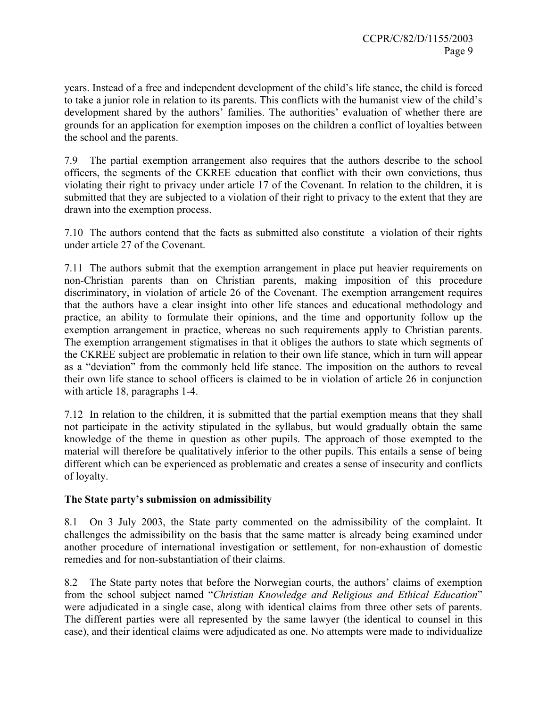years. Instead of a free and independent development of the child's life stance, the child is forced to take a junior role in relation to its parents. This conflicts with the humanist view of the child's development shared by the authors' families. The authorities' evaluation of whether there are grounds for an application for exemption imposes on the children a conflict of loyalties between the school and the parents.

7.9 The partial exemption arrangement also requires that the authors describe to the school officers, the segments of the CKREE education that conflict with their own convictions, thus violating their right to privacy under article 17 of the Covenant. In relation to the children, it is submitted that they are subjected to a violation of their right to privacy to the extent that they are drawn into the exemption process.

7.10 The authors contend that the facts as submitted also constitute a violation of their rights under article 27 of the Covenant.

7.11 The authors submit that the exemption arrangement in place put heavier requirements on non-Christian parents than on Christian parents, making imposition of this procedure discriminatory, in violation of article 26 of the Covenant. The exemption arrangement requires that the authors have a clear insight into other life stances and educational methodology and practice, an ability to formulate their opinions, and the time and opportunity follow up the exemption arrangement in practice, whereas no such requirements apply to Christian parents. The exemption arrangement stigmatises in that it obliges the authors to state which segments of the CKREE subject are problematic in relation to their own life stance, which in turn will appear as a "deviation" from the commonly held life stance. The imposition on the authors to reveal their own life stance to school officers is claimed to be in violation of article 26 in conjunction with article 18, paragraphs 1-4.

7.12 In relation to the children, it is submitted that the partial exemption means that they shall not participate in the activity stipulated in the syllabus, but would gradually obtain the same knowledge of the theme in question as other pupils. The approach of those exempted to the material will therefore be qualitatively inferior to the other pupils. This entails a sense of being different which can be experienced as problematic and creates a sense of insecurity and conflicts of loyalty.

#### **The State party's submission on admissibility**

8.1 On 3 July 2003, the State party commented on the admissibility of the complaint. It challenges the admissibility on the basis that the same matter is already being examined under another procedure of international investigation or settlement, for non-exhaustion of domestic remedies and for non-substantiation of their claims.

8.2 The State party notes that before the Norwegian courts, the authors' claims of exemption from the school subject named "*Christian Knowledge and Religious and Ethical Education*" were adjudicated in a single case, along with identical claims from three other sets of parents. The different parties were all represented by the same lawyer (the identical to counsel in this case), and their identical claims were adjudicated as one. No attempts were made to individualize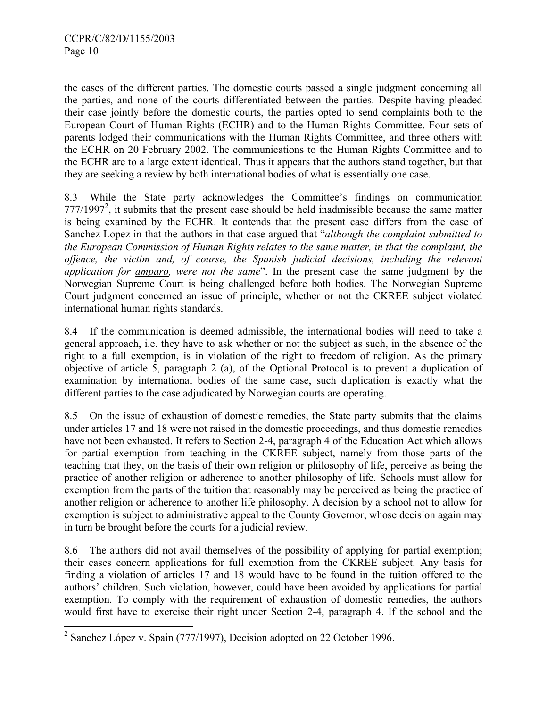the cases of the different parties. The domestic courts passed a single judgment concerning all the parties, and none of the courts differentiated between the parties. Despite having pleaded their case jointly before the domestic courts, the parties opted to send complaints both to the European Court of Human Rights (ECHR) and to the Human Rights Committee. Four sets of parents lodged their communications with the Human Rights Committee, and three others with the ECHR on 20 February 2002. The communications to the Human Rights Committee and to the ECHR are to a large extent identical. Thus it appears that the authors stand together, but that they are seeking a review by both international bodies of what is essentially one case.

8.3 While the State party acknowledges the Committee's findings on communication  $777/1997<sup>2</sup>$ , it submits that the present case should be held inadmissible because the same matter is being examined by the ECHR. It contends that the present case differs from the case of Sanchez Lopez in that the authors in that case argued that "*although the complaint submitted to the European Commission of Human Rights relates to the same matter, in that the complaint, the offence, the victim and, of course, the Spanish judicial decisions, including the relevant application for amparo, were not the same*". In the present case the same judgment by the Norwegian Supreme Court is being challenged before both bodies. The Norwegian Supreme Court judgment concerned an issue of principle, whether or not the CKREE subject violated international human rights standards.

8.4 If the communication is deemed admissible, the international bodies will need to take a general approach, i.e. they have to ask whether or not the subject as such, in the absence of the right to a full exemption, is in violation of the right to freedom of religion. As the primary objective of article 5, paragraph 2 (a), of the Optional Protocol is to prevent a duplication of examination by international bodies of the same case, such duplication is exactly what the different parties to the case adjudicated by Norwegian courts are operating.

8.5 On the issue of exhaustion of domestic remedies, the State party submits that the claims under articles 17 and 18 were not raised in the domestic proceedings, and thus domestic remedies have not been exhausted. It refers to Section 2-4, paragraph 4 of the Education Act which allows for partial exemption from teaching in the CKREE subject, namely from those parts of the teaching that they, on the basis of their own religion or philosophy of life, perceive as being the practice of another religion or adherence to another philosophy of life. Schools must allow for exemption from the parts of the tuition that reasonably may be perceived as being the practice of another religion or adherence to another life philosophy. A decision by a school not to allow for exemption is subject to administrative appeal to the County Governor, whose decision again may in turn be brought before the courts for a judicial review.

8.6 The authors did not avail themselves of the possibility of applying for partial exemption; their cases concern applications for full exemption from the CKREE subject. Any basis for finding a violation of articles 17 and 18 would have to be found in the tuition offered to the authors' children. Such violation, however, could have been avoided by applications for partial exemption. To comply with the requirement of exhaustion of domestic remedies, the authors would first have to exercise their right under Section 2-4, paragraph 4. If the school and the

<sup>&</sup>lt;sup>2</sup> Sanchez López v. Spain (777/1997), Decision adopted on 22 October 1996.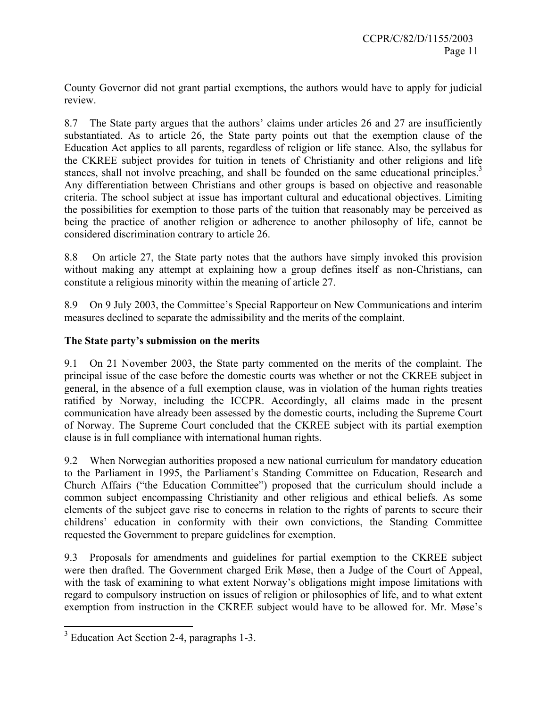County Governor did not grant partial exemptions, the authors would have to apply for judicial review.

8.7 The State party argues that the authors' claims under articles 26 and 27 are insufficiently substantiated. As to article 26, the State party points out that the exemption clause of the Education Act applies to all parents, regardless of religion or life stance. Also, the syllabus for the CKREE subject provides for tuition in tenets of Christianity and other religions and life stances, shall not involve preaching, and shall be founded on the same educational principles.<sup>3</sup> Any differentiation between Christians and other groups is based on objective and reasonable criteria. The school subject at issue has important cultural and educational objectives. Limiting the possibilities for exemption to those parts of the tuition that reasonably may be perceived as being the practice of another religion or adherence to another philosophy of life, cannot be considered discrimination contrary to article 26.

8.8 On article 27, the State party notes that the authors have simply invoked this provision without making any attempt at explaining how a group defines itself as non-Christians, can constitute a religious minority within the meaning of article 27.

8.9 On 9 July 2003, the Committee's Special Rapporteur on New Communications and interim measures declined to separate the admissibility and the merits of the complaint.

#### **The State party's submission on the merits**

9.1 On 21 November 2003, the State party commented on the merits of the complaint. The principal issue of the case before the domestic courts was whether or not the CKREE subject in general, in the absence of a full exemption clause, was in violation of the human rights treaties ratified by Norway, including the ICCPR. Accordingly, all claims made in the present communication have already been assessed by the domestic courts, including the Supreme Court of Norway. The Supreme Court concluded that the CKREE subject with its partial exemption clause is in full compliance with international human rights.

9.2 When Norwegian authorities proposed a new national curriculum for mandatory education to the Parliament in 1995, the Parliament's Standing Committee on Education, Research and Church Affairs ("the Education Committee") proposed that the curriculum should include a common subject encompassing Christianity and other religious and ethical beliefs. As some elements of the subject gave rise to concerns in relation to the rights of parents to secure their childrens' education in conformity with their own convictions, the Standing Committee requested the Government to prepare guidelines for exemption.

9.3 Proposals for amendments and guidelines for partial exemption to the CKREE subject were then drafted. The Government charged Erik Møse, then a Judge of the Court of Appeal, with the task of examining to what extent Norway's obligations might impose limitations with regard to compulsory instruction on issues of religion or philosophies of life, and to what extent exemption from instruction in the CKREE subject would have to be allowed for. Mr. Møse's

<sup>&</sup>lt;sup>3</sup> Education Act Section 2-4, paragraphs 1-3.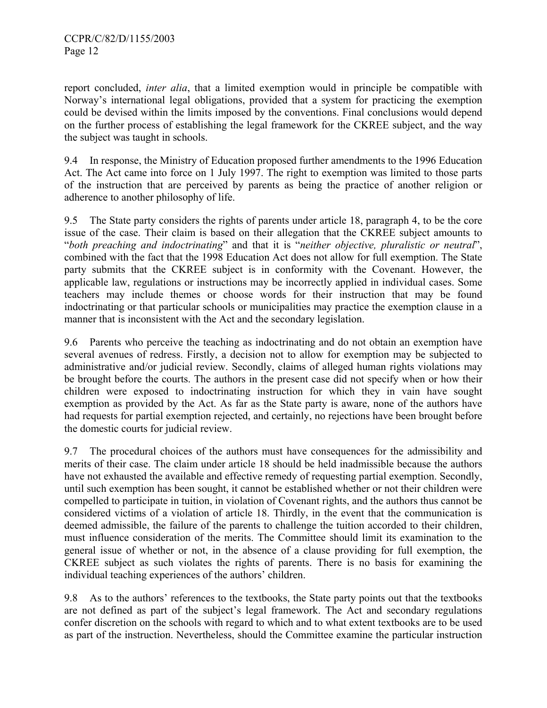report concluded, *inter alia*, that a limited exemption would in principle be compatible with Norway's international legal obligations, provided that a system for practicing the exemption could be devised within the limits imposed by the conventions. Final conclusions would depend on the further process of establishing the legal framework for the CKREE subject, and the way the subject was taught in schools.

9.4 In response, the Ministry of Education proposed further amendments to the 1996 Education Act. The Act came into force on 1 July 1997. The right to exemption was limited to those parts of the instruction that are perceived by parents as being the practice of another religion or adherence to another philosophy of life.

9.5 The State party considers the rights of parents under article 18, paragraph 4, to be the core issue of the case. Their claim is based on their allegation that the CKREE subject amounts to "*both preaching and indoctrinating*" and that it is "*neither objective, pluralistic or neutral*", combined with the fact that the 1998 Education Act does not allow for full exemption. The State party submits that the CKREE subject is in conformity with the Covenant. However, the applicable law, regulations or instructions may be incorrectly applied in individual cases. Some teachers may include themes or choose words for their instruction that may be found indoctrinating or that particular schools or municipalities may practice the exemption clause in a manner that is inconsistent with the Act and the secondary legislation.

9.6 Parents who perceive the teaching as indoctrinating and do not obtain an exemption have several avenues of redress. Firstly, a decision not to allow for exemption may be subjected to administrative and/or judicial review. Secondly, claims of alleged human rights violations may be brought before the courts. The authors in the present case did not specify when or how their children were exposed to indoctrinating instruction for which they in vain have sought exemption as provided by the Act. As far as the State party is aware, none of the authors have had requests for partial exemption rejected, and certainly, no rejections have been brought before the domestic courts for judicial review.

9.7 The procedural choices of the authors must have consequences for the admissibility and merits of their case. The claim under article 18 should be held inadmissible because the authors have not exhausted the available and effective remedy of requesting partial exemption. Secondly, until such exemption has been sought, it cannot be established whether or not their children were compelled to participate in tuition, in violation of Covenant rights, and the authors thus cannot be considered victims of a violation of article 18. Thirdly, in the event that the communication is deemed admissible, the failure of the parents to challenge the tuition accorded to their children, must influence consideration of the merits. The Committee should limit its examination to the general issue of whether or not, in the absence of a clause providing for full exemption, the CKREE subject as such violates the rights of parents. There is no basis for examining the individual teaching experiences of the authors' children.

9.8 As to the authors' references to the textbooks, the State party points out that the textbooks are not defined as part of the subject's legal framework. The Act and secondary regulations confer discretion on the schools with regard to which and to what extent textbooks are to be used as part of the instruction. Nevertheless, should the Committee examine the particular instruction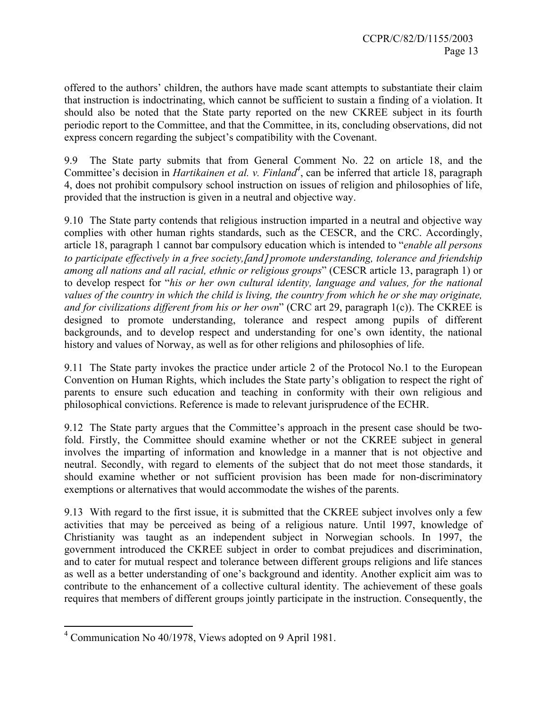offered to the authors' children, the authors have made scant attempts to substantiate their claim that instruction is indoctrinating, which cannot be sufficient to sustain a finding of a violation. It should also be noted that the State party reported on the new CKREE subject in its fourth periodic report to the Committee, and that the Committee, in its, concluding observations, did not express concern regarding the subject's compatibility with the Covenant.

9.9 The State party submits that from General Comment No. 22 on article 18, and the Committee's decision in *Hartikainen et al. v. Finland<sup>4</sup>*, can be inferred that article 18, paragraph 4, does not prohibit compulsory school instruction on issues of religion and philosophies of life, provided that the instruction is given in a neutral and objective way.

9.10 The State party contends that religious instruction imparted in a neutral and objective way complies with other human rights standards, such as the CESCR, and the CRC. Accordingly, article 18, paragraph 1 cannot bar compulsory education which is intended to "*enable all persons to participate effectively in a free society,*[*and*] *promote understanding, tolerance and friendship among all nations and all racial, ethnic or religious groups*" (CESCR article 13, paragraph 1) or to develop respect for "*his or her own cultural identity, language and values, for the national values of the country in which the child is living, the country from which he or she may originate, and for civilizations different from his or her own*" (CRC art 29, paragraph 1(c)). The CKREE is designed to promote understanding, tolerance and respect among pupils of different backgrounds, and to develop respect and understanding for one's own identity, the national history and values of Norway, as well as for other religions and philosophies of life.

9.11 The State party invokes the practice under article 2 of the Protocol No.1 to the European Convention on Human Rights, which includes the State party's obligation to respect the right of parents to ensure such education and teaching in conformity with their own religious and philosophical convictions. Reference is made to relevant jurisprudence of the ECHR.

9.12 The State party argues that the Committee's approach in the present case should be twofold. Firstly, the Committee should examine whether or not the CKREE subject in general involves the imparting of information and knowledge in a manner that is not objective and neutral. Secondly, with regard to elements of the subject that do not meet those standards, it should examine whether or not sufficient provision has been made for non-discriminatory exemptions or alternatives that would accommodate the wishes of the parents.

9.13 With regard to the first issue, it is submitted that the CKREE subject involves only a few activities that may be perceived as being of a religious nature. Until 1997, knowledge of Christianity was taught as an independent subject in Norwegian schools. In 1997, the government introduced the CKREE subject in order to combat prejudices and discrimination, and to cater for mutual respect and tolerance between different groups religions and life stances as well as a better understanding of one's background and identity. Another explicit aim was to contribute to the enhancement of a collective cultural identity. The achievement of these goals requires that members of different groups jointly participate in the instruction. Consequently, the

 4 Communication No 40/1978, Views adopted on 9 April 1981.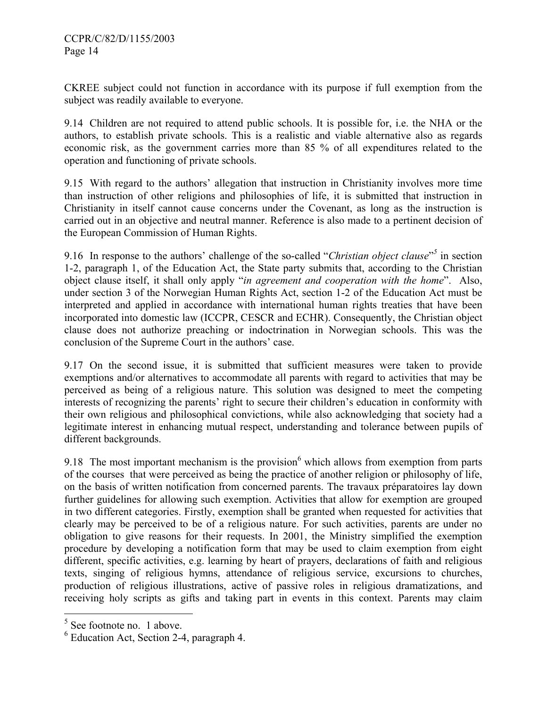CKREE subject could not function in accordance with its purpose if full exemption from the subject was readily available to everyone.

9.14 Children are not required to attend public schools. It is possible for, i.e. the NHA or the authors, to establish private schools. This is a realistic and viable alternative also as regards economic risk, as the government carries more than 85 % of all expenditures related to the operation and functioning of private schools.

9.15 With regard to the authors' allegation that instruction in Christianity involves more time than instruction of other religions and philosophies of life, it is submitted that instruction in Christianity in itself cannot cause concerns under the Covenant, as long as the instruction is carried out in an objective and neutral manner. Reference is also made to a pertinent decision of the European Commission of Human Rights.

9.16 In response to the authors' challenge of the so-called "*Christian object clause*" *5* in section 1-2, paragraph 1, of the Education Act, the State party submits that, according to the Christian object clause itself, it shall only apply "*in agreement and cooperation with the home*". Also, under section 3 of the Norwegian Human Rights Act, section 1-2 of the Education Act must be interpreted and applied in accordance with international human rights treaties that have been incorporated into domestic law (ICCPR, CESCR and ECHR). Consequently, the Christian object clause does not authorize preaching or indoctrination in Norwegian schools. This was the conclusion of the Supreme Court in the authors' case.

9.17 On the second issue, it is submitted that sufficient measures were taken to provide exemptions and/or alternatives to accommodate all parents with regard to activities that may be perceived as being of a religious nature. This solution was designed to meet the competing interests of recognizing the parents' right to secure their children's education in conformity with their own religious and philosophical convictions, while also acknowledging that society had a legitimate interest in enhancing mutual respect, understanding and tolerance between pupils of different backgrounds.

9.18 The most important mechanism is the provision $<sup>6</sup>$  which allows from exemption from parts</sup> of the courses that were perceived as being the practice of another religion or philosophy of life, on the basis of written notification from concerned parents. The travaux préparatoires lay down further guidelines for allowing such exemption. Activities that allow for exemption are grouped in two different categories. Firstly, exemption shall be granted when requested for activities that clearly may be perceived to be of a religious nature. For such activities, parents are under no obligation to give reasons for their requests. In 2001, the Ministry simplified the exemption procedure by developing a notification form that may be used to claim exemption from eight different, specific activities, e.g. learning by heart of prayers, declarations of faith and religious texts, singing of religious hymns, attendance of religious service, excursions to churches, production of religious illustrations, active of passive roles in religious dramatizations, and receiving holy scripts as gifts and taking part in events in this context. Parents may claim

 $5$  See footnote no. 1 above.

<sup>&</sup>lt;sup>6</sup> Education Act, Section 2-4, paragraph 4.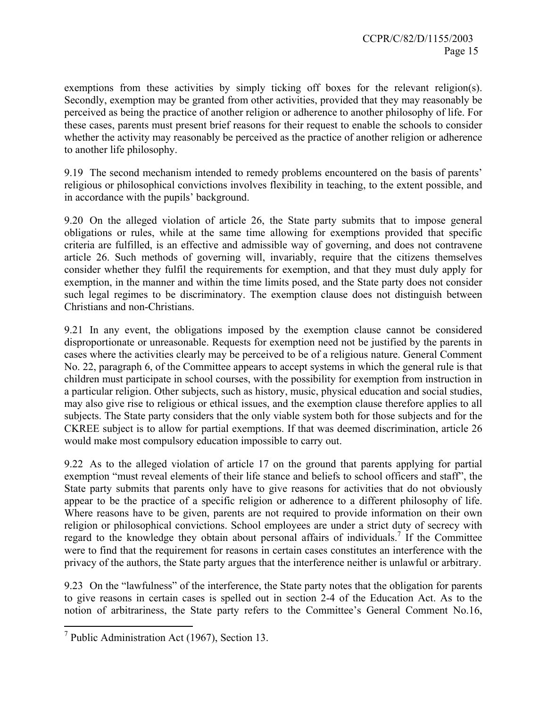exemptions from these activities by simply ticking off boxes for the relevant religion(s). Secondly, exemption may be granted from other activities, provided that they may reasonably be perceived as being the practice of another religion or adherence to another philosophy of life. For these cases, parents must present brief reasons for their request to enable the schools to consider whether the activity may reasonably be perceived as the practice of another religion or adherence to another life philosophy.

9.19 The second mechanism intended to remedy problems encountered on the basis of parents' religious or philosophical convictions involves flexibility in teaching, to the extent possible, and in accordance with the pupils' background.

9.20 On the alleged violation of article 26, the State party submits that to impose general obligations or rules, while at the same time allowing for exemptions provided that specific criteria are fulfilled, is an effective and admissible way of governing, and does not contravene article 26. Such methods of governing will, invariably, require that the citizens themselves consider whether they fulfil the requirements for exemption, and that they must duly apply for exemption, in the manner and within the time limits posed, and the State party does not consider such legal regimes to be discriminatory. The exemption clause does not distinguish between Christians and non-Christians.

9.21 In any event, the obligations imposed by the exemption clause cannot be considered disproportionate or unreasonable. Requests for exemption need not be justified by the parents in cases where the activities clearly may be perceived to be of a religious nature. General Comment No. 22, paragraph 6, of the Committee appears to accept systems in which the general rule is that children must participate in school courses, with the possibility for exemption from instruction in a particular religion. Other subjects, such as history, music, physical education and social studies, may also give rise to religious or ethical issues, and the exemption clause therefore applies to all subjects. The State party considers that the only viable system both for those subjects and for the CKREE subject is to allow for partial exemptions. If that was deemed discrimination, article 26 would make most compulsory education impossible to carry out.

9.22 As to the alleged violation of article 17 on the ground that parents applying for partial exemption "must reveal elements of their life stance and beliefs to school officers and staff", the State party submits that parents only have to give reasons for activities that do not obviously appear to be the practice of a specific religion or adherence to a different philosophy of life. Where reasons have to be given, parents are not required to provide information on their own religion or philosophical convictions. School employees are under a strict duty of secrecy with regard to the knowledge they obtain about personal affairs of individuals.<sup>7</sup> If the Committee were to find that the requirement for reasons in certain cases constitutes an interference with the privacy of the authors, the State party argues that the interference neither is unlawful or arbitrary.

9.23 On the "lawfulness" of the interference, the State party notes that the obligation for parents to give reasons in certain cases is spelled out in section 2-4 of the Education Act. As to the notion of arbitrariness, the State party refers to the Committee's General Comment No.16,

 7 Public Administration Act (1967), Section 13.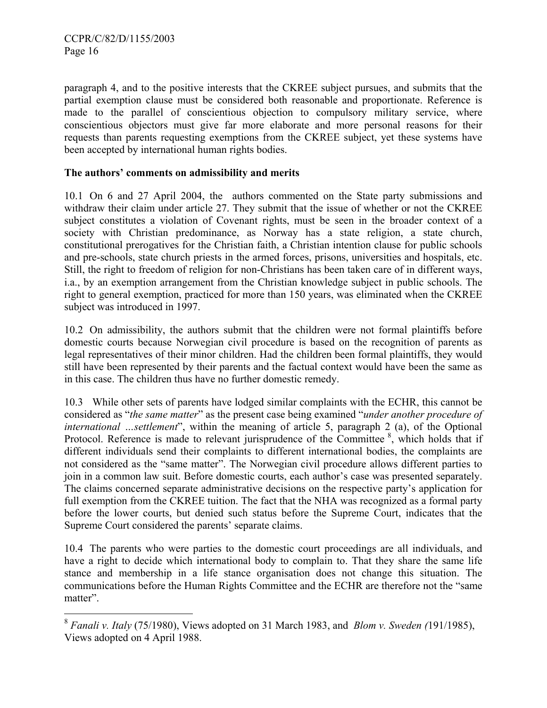1

paragraph 4, and to the positive interests that the CKREE subject pursues, and submits that the partial exemption clause must be considered both reasonable and proportionate. Reference is made to the parallel of conscientious objection to compulsory military service, where conscientious objectors must give far more elaborate and more personal reasons for their requests than parents requesting exemptions from the CKREE subject, yet these systems have been accepted by international human rights bodies.

#### **The authors' comments on admissibility and merits**

10.1 On 6 and 27 April 2004, the authors commented on the State party submissions and withdraw their claim under article 27. They submit that the issue of whether or not the CKREE subject constitutes a violation of Covenant rights, must be seen in the broader context of a society with Christian predominance, as Norway has a state religion, a state church, constitutional prerogatives for the Christian faith, a Christian intention clause for public schools and pre-schools, state church priests in the armed forces, prisons, universities and hospitals, etc. Still, the right to freedom of religion for non-Christians has been taken care of in different ways, i.a., by an exemption arrangement from the Christian knowledge subject in public schools. The right to general exemption, practiced for more than 150 years, was eliminated when the CKREE subject was introduced in 1997.

10.2 On admissibility, the authors submit that the children were not formal plaintiffs before domestic courts because Norwegian civil procedure is based on the recognition of parents as legal representatives of their minor children. Had the children been formal plaintiffs, they would still have been represented by their parents and the factual context would have been the same as in this case. The children thus have no further domestic remedy.

10.3 While other sets of parents have lodged similar complaints with the ECHR, this cannot be considered as "*the same matter*" as the present case being examined "*under another procedure of international …settlement*", within the meaning of article 5, paragraph 2 (a), of the Optional Protocol. Reference is made to relevant jurisprudence of the Committee <sup>8</sup>, which holds that if different individuals send their complaints to different international bodies, the complaints are not considered as the "same matter". The Norwegian civil procedure allows different parties to join in a common law suit. Before domestic courts, each author's case was presented separately. The claims concerned separate administrative decisions on the respective party's application for full exemption from the CKREE tuition. The fact that the NHA was recognized as a formal party before the lower courts, but denied such status before the Supreme Court, indicates that the Supreme Court considered the parents' separate claims.

10.4 The parents who were parties to the domestic court proceedings are all individuals, and have a right to decide which international body to complain to. That they share the same life stance and membership in a life stance organisation does not change this situation. The communications before the Human Rights Committee and the ECHR are therefore not the "same matter".

<sup>8</sup> *Fanali v. Italy* (75/1980), Views adopted on 31 March 1983, and *Blom v. Sweden (*191/1985), Views adopted on 4 April 1988.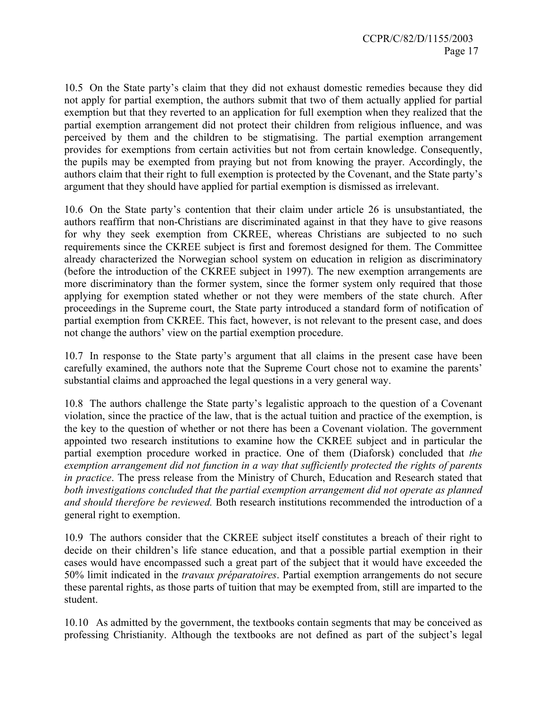10.5 On the State party's claim that they did not exhaust domestic remedies because they did not apply for partial exemption, the authors submit that two of them actually applied for partial exemption but that they reverted to an application for full exemption when they realized that the partial exemption arrangement did not protect their children from religious influence, and was perceived by them and the children to be stigmatising. The partial exemption arrangement provides for exemptions from certain activities but not from certain knowledge. Consequently, the pupils may be exempted from praying but not from knowing the prayer. Accordingly, the authors claim that their right to full exemption is protected by the Covenant, and the State party's argument that they should have applied for partial exemption is dismissed as irrelevant.

10.6 On the State party's contention that their claim under article 26 is unsubstantiated, the authors reaffirm that non-Christians are discriminated against in that they have to give reasons for why they seek exemption from CKREE, whereas Christians are subjected to no such requirements since the CKREE subject is first and foremost designed for them. The Committee already characterized the Norwegian school system on education in religion as discriminatory (before the introduction of the CKREE subject in 1997). The new exemption arrangements are more discriminatory than the former system, since the former system only required that those applying for exemption stated whether or not they were members of the state church. After proceedings in the Supreme court, the State party introduced a standard form of notification of partial exemption from CKREE. This fact, however, is not relevant to the present case, and does not change the authors' view on the partial exemption procedure.

10.7 In response to the State party's argument that all claims in the present case have been carefully examined, the authors note that the Supreme Court chose not to examine the parents' substantial claims and approached the legal questions in a very general way.

10.8 The authors challenge the State party's legalistic approach to the question of a Covenant violation, since the practice of the law, that is the actual tuition and practice of the exemption, is the key to the question of whether or not there has been a Covenant violation. The government appointed two research institutions to examine how the CKREE subject and in particular the partial exemption procedure worked in practice. One of them (Diaforsk) concluded that *the exemption arrangement did not function in a way that sufficiently protected the rights of parents in practice*. The press release from the Ministry of Church, Education and Research stated that *both investigations concluded that the partial exemption arrangement did not operate as planned and should therefore be reviewed.* Both research institutions recommended the introduction of a general right to exemption.

10.9 The authors consider that the CKREE subject itself constitutes a breach of their right to decide on their children's life stance education, and that a possible partial exemption in their cases would have encompassed such a great part of the subject that it would have exceeded the 50% limit indicated in the *travaux préparatoires*. Partial exemption arrangements do not secure these parental rights, as those parts of tuition that may be exempted from, still are imparted to the student.

10.10 As admitted by the government, the textbooks contain segments that may be conceived as professing Christianity. Although the textbooks are not defined as part of the subject's legal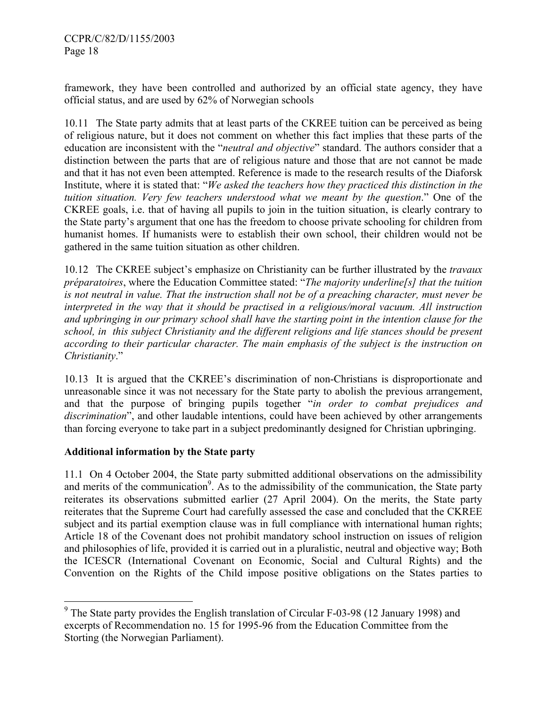framework, they have been controlled and authorized by an official state agency, they have official status, and are used by 62% of Norwegian schools

10.11 The State party admits that at least parts of the CKREE tuition can be perceived as being of religious nature, but it does not comment on whether this fact implies that these parts of the education are inconsistent with the "*neutral and objective*" standard. The authors consider that a distinction between the parts that are of religious nature and those that are not cannot be made and that it has not even been attempted. Reference is made to the research results of the Diaforsk Institute, where it is stated that: "*We asked the teachers how they practiced this distinction in the tuition situation. Very few teachers understood what we meant by the question*." One of the CKREE goals, i.e. that of having all pupils to join in the tuition situation, is clearly contrary to the State party's argument that one has the freedom to choose private schooling for children from humanist homes. If humanists were to establish their own school, their children would not be gathered in the same tuition situation as other children.

10.12 The CKREE subject's emphasize on Christianity can be further illustrated by the *travaux préparatoires*, where the Education Committee stated: "*The majority underline[s] that the tuition is not neutral in value. That the instruction shall not be of a preaching character, must never be interpreted in the way that it should be practised in a religious/moral vacuum. All instruction and upbringing in our primary school shall have the starting point in the intention clause for the school, in this subject Christianity and the different religions and life stances should be present according to their particular character. The main emphasis of the subject is the instruction on Christianity*."

10.13 It is argued that the CKREE's discrimination of non-Christians is disproportionate and unreasonable since it was not necessary for the State party to abolish the previous arrangement, and that the purpose of bringing pupils together "*in order to combat prejudices and discrimination*", and other laudable intentions, could have been achieved by other arrangements than forcing everyone to take part in a subject predominantly designed for Christian upbringing.

#### **Additional information by the State party**

11.1 On 4 October 2004, the State party submitted additional observations on the admissibility and merits of the communication<sup>9</sup>. As to the admissibility of the communication, the State party reiterates its observations submitted earlier (27 April 2004). On the merits, the State party reiterates that the Supreme Court had carefully assessed the case and concluded that the CKREE subject and its partial exemption clause was in full compliance with international human rights; Article 18 of the Covenant does not prohibit mandatory school instruction on issues of religion and philosophies of life, provided it is carried out in a pluralistic, neutral and objective way; Both the ICESCR (International Covenant on Economic, Social and Cultural Rights) and the Convention on the Rights of the Child impose positive obligations on the States parties to

The State party provides the English translation of Circular F-03-98 (12 January 1998) and excerpts of Recommendation no. 15 for 1995-96 from the Education Committee from the Storting (the Norwegian Parliament).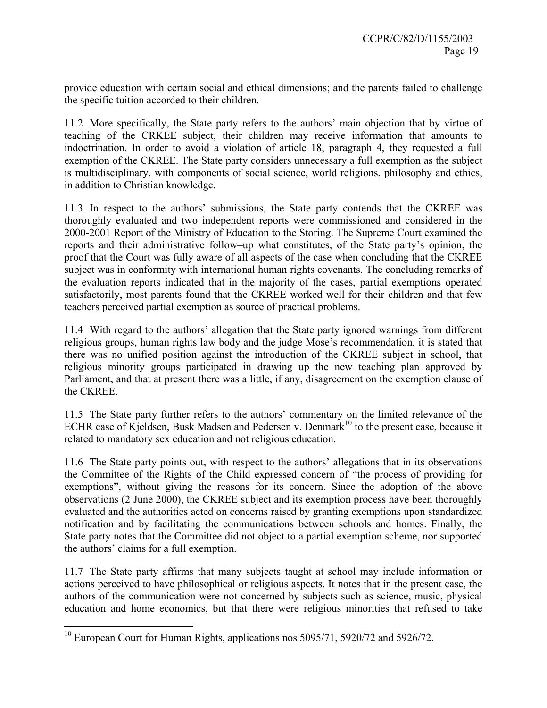provide education with certain social and ethical dimensions; and the parents failed to challenge the specific tuition accorded to their children.

11.2 More specifically, the State party refers to the authors' main objection that by virtue of teaching of the CRKEE subject, their children may receive information that amounts to indoctrination. In order to avoid a violation of article 18, paragraph 4, they requested a full exemption of the CKREE. The State party considers unnecessary a full exemption as the subject is multidisciplinary, with components of social science, world religions, philosophy and ethics, in addition to Christian knowledge.

11.3 In respect to the authors' submissions, the State party contends that the CKREE was thoroughly evaluated and two independent reports were commissioned and considered in the 2000-2001 Report of the Ministry of Education to the Storing. The Supreme Court examined the reports and their administrative follow–up what constitutes, of the State party's opinion, the proof that the Court was fully aware of all aspects of the case when concluding that the CKREE subject was in conformity with international human rights covenants. The concluding remarks of the evaluation reports indicated that in the majority of the cases, partial exemptions operated satisfactorily, most parents found that the CKREE worked well for their children and that few teachers perceived partial exemption as source of practical problems.

11.4 With regard to the authors' allegation that the State party ignored warnings from different religious groups, human rights law body and the judge Mose's recommendation, it is stated that there was no unified position against the introduction of the CKREE subject in school, that religious minority groups participated in drawing up the new teaching plan approved by Parliament, and that at present there was a little, if any, disagreement on the exemption clause of the CKREE.

11.5 The State party further refers to the authors' commentary on the limited relevance of the ECHR case of Kjeldsen, Busk Madsen and Pedersen v. Denmark<sup>10</sup> to the present case, because it related to mandatory sex education and not religious education.

11.6 The State party points out, with respect to the authors' allegations that in its observations the Committee of the Rights of the Child expressed concern of "the process of providing for exemptions", without giving the reasons for its concern. Since the adoption of the above observations (2 June 2000), the CKREE subject and its exemption process have been thoroughly evaluated and the authorities acted on concerns raised by granting exemptions upon standardized notification and by facilitating the communications between schools and homes. Finally, the State party notes that the Committee did not object to a partial exemption scheme, nor supported the authors' claims for a full exemption.

11.7 The State party affirms that many subjects taught at school may include information or actions perceived to have philosophical or religious aspects. It notes that in the present case, the authors of the communication were not concerned by subjects such as science, music, physical education and home economics, but that there were religious minorities that refused to take

 $\overline{a}$ 

<sup>&</sup>lt;sup>10</sup> European Court for Human Rights, applications nos 5095/71, 5920/72 and 5926/72.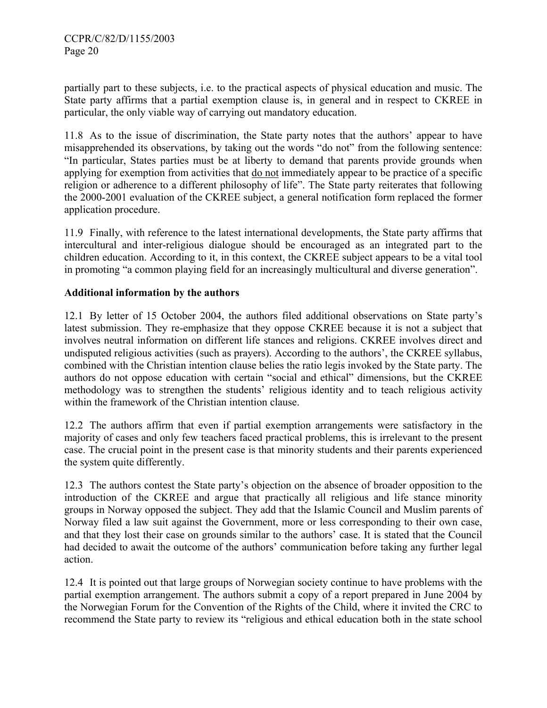partially part to these subjects, i.e. to the practical aspects of physical education and music. The State party affirms that a partial exemption clause is, in general and in respect to CKREE in particular, the only viable way of carrying out mandatory education.

11.8 As to the issue of discrimination, the State party notes that the authors' appear to have misapprehended its observations, by taking out the words "do not" from the following sentence: "In particular, States parties must be at liberty to demand that parents provide grounds when applying for exemption from activities that do not immediately appear to be practice of a specific religion or adherence to a different philosophy of life". The State party reiterates that following the 2000-2001 evaluation of the CKREE subject, a general notification form replaced the former application procedure.

11.9 Finally, with reference to the latest international developments, the State party affirms that intercultural and inter-religious dialogue should be encouraged as an integrated part to the children education. According to it, in this context, the CKREE subject appears to be a vital tool in promoting "a common playing field for an increasingly multicultural and diverse generation".

#### **Additional information by the authors**

12.1 By letter of 15 October 2004, the authors filed additional observations on State party's latest submission. They re-emphasize that they oppose CKREE because it is not a subject that involves neutral information on different life stances and religions. CKREE involves direct and undisputed religious activities (such as prayers). According to the authors', the CKREE syllabus, combined with the Christian intention clause belies the ratio legis invoked by the State party. The authors do not oppose education with certain "social and ethical" dimensions, but the CKREE methodology was to strengthen the students' religious identity and to teach religious activity within the framework of the Christian intention clause.

12.2 The authors affirm that even if partial exemption arrangements were satisfactory in the majority of cases and only few teachers faced practical problems, this is irrelevant to the present case. The crucial point in the present case is that minority students and their parents experienced the system quite differently.

12.3 The authors contest the State party's objection on the absence of broader opposition to the introduction of the CKREE and argue that practically all religious and life stance minority groups in Norway opposed the subject. They add that the Islamic Council and Muslim parents of Norway filed a law suit against the Government, more or less corresponding to their own case, and that they lost their case on grounds similar to the authors' case. It is stated that the Council had decided to await the outcome of the authors' communication before taking any further legal action.

12.4 It is pointed out that large groups of Norwegian society continue to have problems with the partial exemption arrangement. The authors submit a copy of a report prepared in June 2004 by the Norwegian Forum for the Convention of the Rights of the Child, where it invited the CRC to recommend the State party to review its "religious and ethical education both in the state school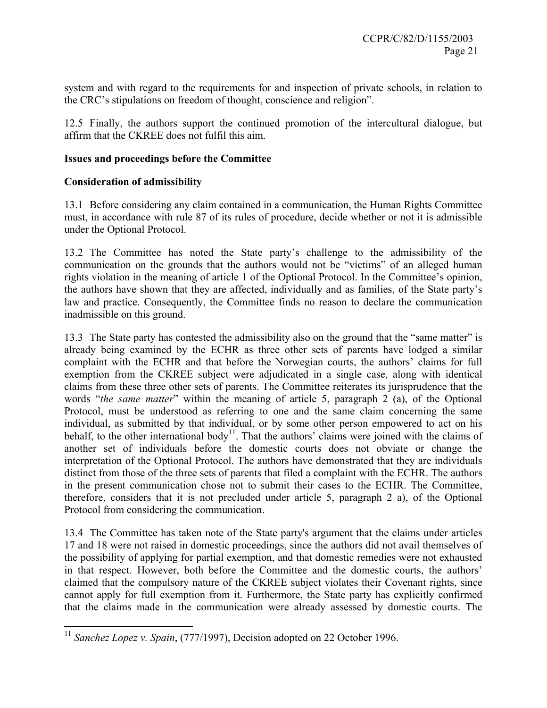system and with regard to the requirements for and inspection of private schools, in relation to the CRC's stipulations on freedom of thought, conscience and religion".

12.5 Finally, the authors support the continued promotion of the intercultural dialogue, but affirm that the CKREE does not fulfil this aim.

#### **Issues and proceedings before the Committee**

#### **Consideration of admissibility**

13.1 Before considering any claim contained in a communication, the Human Rights Committee must, in accordance with rule 87 of its rules of procedure, decide whether or not it is admissible under the Optional Protocol.

13.2 The Committee has noted the State party's challenge to the admissibility of the communication on the grounds that the authors would not be "victims" of an alleged human rights violation in the meaning of article 1 of the Optional Protocol. In the Committee's opinion, the authors have shown that they are affected, individually and as families, of the State party's law and practice. Consequently, the Committee finds no reason to declare the communication inadmissible on this ground.

13.3 The State party has contested the admissibility also on the ground that the "same matter" is already being examined by the ECHR as three other sets of parents have lodged a similar complaint with the ECHR and that before the Norwegian courts, the authors' claims for full exemption from the CKREE subject were adjudicated in a single case, along with identical claims from these three other sets of parents. The Committee reiterates its jurisprudence that the words "*the same matter*" within the meaning of article 5, paragraph 2 (a), of the Optional Protocol, must be understood as referring to one and the same claim concerning the same individual, as submitted by that individual, or by some other person empowered to act on his behalf, to the other international body<sup>11</sup>. That the authors' claims were joined with the claims of another set of individuals before the domestic courts does not obviate or change the interpretation of the Optional Protocol. The authors have demonstrated that they are individuals distinct from those of the three sets of parents that filed a complaint with the ECHR. The authors in the present communication chose not to submit their cases to the ECHR. The Committee, therefore, considers that it is not precluded under article 5, paragraph 2 a), of the Optional Protocol from considering the communication.

13.4 The Committee has taken note of the State party's argument that the claims under articles 17 and 18 were not raised in domestic proceedings, since the authors did not avail themselves of the possibility of applying for partial exemption, and that domestic remedies were not exhausted in that respect. However, both before the Committee and the domestic courts, the authors' claimed that the compulsory nature of the CKREE subject violates their Covenant rights, since cannot apply for full exemption from it. Furthermore, the State party has explicitly confirmed that the claims made in the communication were already assessed by domestic courts. The

 $\overline{a}$ <sup>11</sup> Sanchez Lopez v. Spain, (777/1997), Decision adopted on 22 October 1996.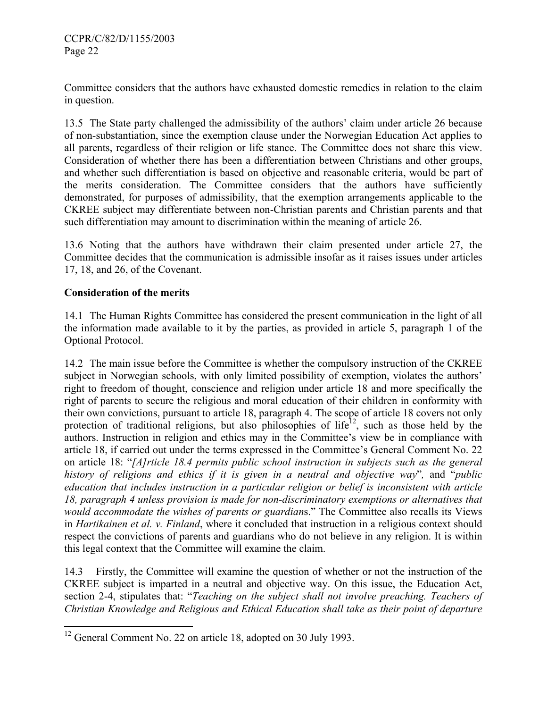Committee considers that the authors have exhausted domestic remedies in relation to the claim in question.

13.5 The State party challenged the admissibility of the authors' claim under article 26 because of non-substantiation, since the exemption clause under the Norwegian Education Act applies to all parents, regardless of their religion or life stance. The Committee does not share this view. Consideration of whether there has been a differentiation between Christians and other groups, and whether such differentiation is based on objective and reasonable criteria, would be part of the merits consideration. The Committee considers that the authors have sufficiently demonstrated, for purposes of admissibility, that the exemption arrangements applicable to the CKREE subject may differentiate between non-Christian parents and Christian parents and that such differentiation may amount to discrimination within the meaning of article 26.

13.6 Noting that the authors have withdrawn their claim presented under article 27, the Committee decides that the communication is admissible insofar as it raises issues under articles 17, 18, and 26, of the Covenant.

#### **Consideration of the merits**

14.1 The Human Rights Committee has considered the present communication in the light of all the information made available to it by the parties, as provided in article 5, paragraph 1 of the Optional Protocol.

14.2 The main issue before the Committee is whether the compulsory instruction of the CKREE subject in Norwegian schools, with only limited possibility of exemption, violates the authors' right to freedom of thought, conscience and religion under article 18 and more specifically the right of parents to secure the religious and moral education of their children in conformity with their own convictions, pursuant to article 18, paragraph 4. The scope of article 18 covers not only protection of traditional religions, but also philosophies of life<sup>12</sup>, such as those held by the authors. Instruction in religion and ethics may in the Committee's view be in compliance with article 18, if carried out under the terms expressed in the Committee's General Comment No. 22 on article 18: "*[A]rticle 18.4 permits public school instruction in subjects such as the general history of religions and ethics if it is given in a neutral and objective way*"*,* and "*public education that includes instruction in a particular religion or belief is inconsistent with article 18, paragraph 4 unless provision is made for non-discriminatory exemptions or alternatives that would accommodate the wishes of parents or guardian*s." The Committee also recalls its Views in *Hartikainen et al. v. Finland*, where it concluded that instruction in a religious context should respect the convictions of parents and guardians who do not believe in any religion. It is within this legal context that the Committee will examine the claim.

14.3 Firstly, the Committee will examine the question of whether or not the instruction of the CKREE subject is imparted in a neutral and objective way. On this issue, the Education Act, section 2-4, stipulates that: "*Teaching on the subject shall not involve preaching. Teachers of Christian Knowledge and Religious and Ethical Education shall take as their point of departure* 

<sup>&</sup>lt;u>.</u>  $12$  General Comment No. 22 on article 18, adopted on 30 July 1993.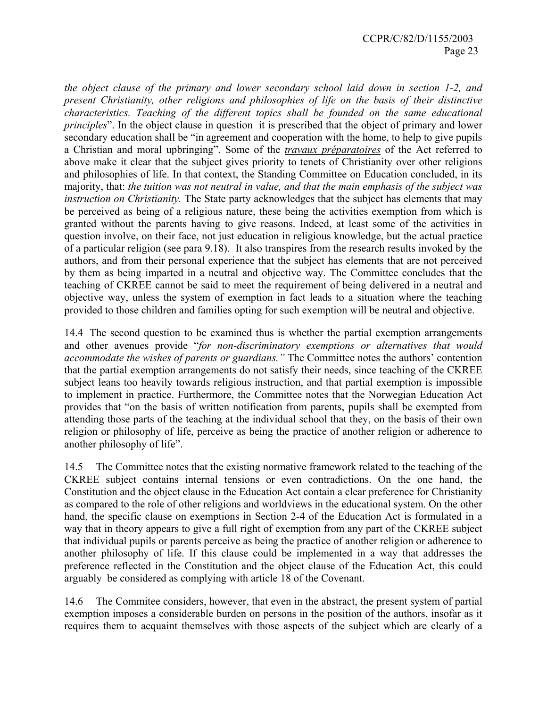*the object clause of the primary and lower secondary school laid down in section 1-2, and present Christianity, other religions and philosophies of life on the basis of their distinctive characteristics. Teaching of the different topics shall be founded on the same educational principles*". In the object clause in question it is prescribed that the object of primary and lower secondary education shall be "in agreement and cooperation with the home, to help to give pupils a Christian and moral upbringing". Some of the *travaux préparatoires* of the Act referred to above make it clear that the subject gives priority to tenets of Christianity over other religions and philosophies of life. In that context, the Standing Committee on Education concluded, in its majority, that: *the tuition was not neutral in value, and that the main emphasis of the subject was instruction on Christianity.* The State party acknowledges that the subject has elements that may be perceived as being of a religious nature, these being the activities exemption from which is granted without the parents having to give reasons. Indeed, at least some of the activities in question involve, on their face, not just education in religious knowledge, but the actual practice of a particular religion (see para 9.18). It also transpires from the research results invoked by the authors, and from their personal experience that the subject has elements that are not perceived by them as being imparted in a neutral and objective way. The Committee concludes that the teaching of CKREE cannot be said to meet the requirement of being delivered in a neutral and objective way, unless the system of exemption in fact leads to a situation where the teaching provided to those children and families opting for such exemption will be neutral and objective.

14.4 The second question to be examined thus is whether the partial exemption arrangements and other avenues provide "*for non-discriminatory exemptions or alternatives that would accommodate the wishes of parents or guardians."* The Committee notes the authors' contention that the partial exemption arrangements do not satisfy their needs, since teaching of the CKREE subject leans too heavily towards religious instruction, and that partial exemption is impossible to implement in practice. Furthermore, the Committee notes that the Norwegian Education Act provides that "on the basis of written notification from parents, pupils shall be exempted from attending those parts of the teaching at the individual school that they, on the basis of their own religion or philosophy of life, perceive as being the practice of another religion or adherence to another philosophy of life".

14.5 The Committee notes that the existing normative framework related to the teaching of the CKREE subject contains internal tensions or even contradictions. On the one hand, the Constitution and the object clause in the Education Act contain a clear preference for Christianity as compared to the role of other religions and worldviews in the educational system. On the other hand, the specific clause on exemptions in Section 2-4 of the Education Act is formulated in a way that in theory appears to give a full right of exemption from any part of the CKREE subject that individual pupils or parents perceive as being the practice of another religion or adherence to another philosophy of life. If this clause could be implemented in a way that addresses the preference reflected in the Constitution and the object clause of the Education Act, this could arguably be considered as complying with article 18 of the Covenant.

14.6 The Commitee considers, however, that even in the abstract, the present system of partial exemption imposes a considerable burden on persons in the position of the authors, insofar as it requires them to acquaint themselves with those aspects of the subject which are clearly of a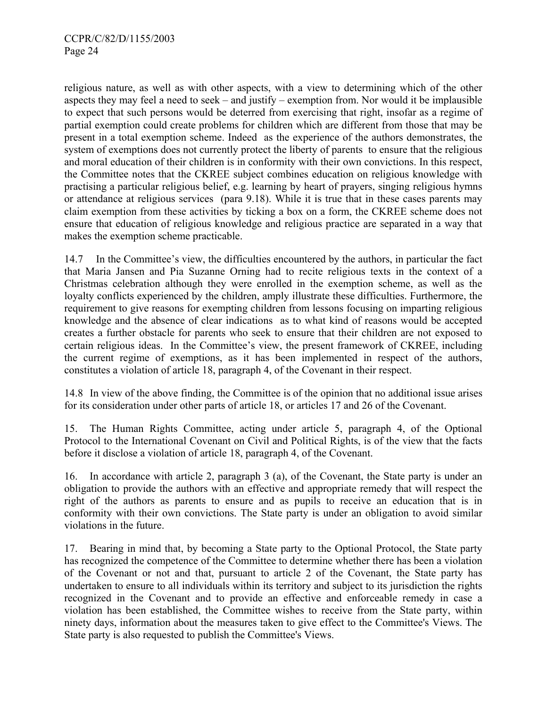religious nature, as well as with other aspects, with a view to determining which of the other aspects they may feel a need to seek – and justify – exemption from. Nor would it be implausible to expect that such persons would be deterred from exercising that right, insofar as a regime of partial exemption could create problems for children which are different from those that may be present in a total exemption scheme. Indeed as the experience of the authors demonstrates, the system of exemptions does not currently protect the liberty of parents to ensure that the religious and moral education of their children is in conformity with their own convictions. In this respect, the Committee notes that the CKREE subject combines education on religious knowledge with practising a particular religious belief, e.g. learning by heart of prayers, singing religious hymns or attendance at religious services (para 9.18). While it is true that in these cases parents may claim exemption from these activities by ticking a box on a form, the CKREE scheme does not ensure that education of religious knowledge and religious practice are separated in a way that makes the exemption scheme practicable.

14.7 In the Committee's view, the difficulties encountered by the authors, in particular the fact that Maria Jansen and Pia Suzanne Orning had to recite religious texts in the context of a Christmas celebration although they were enrolled in the exemption scheme, as well as the loyalty conflicts experienced by the children, amply illustrate these difficulties. Furthermore, the requirement to give reasons for exempting children from lessons focusing on imparting religious knowledge and the absence of clear indications as to what kind of reasons would be accepted creates a further obstacle for parents who seek to ensure that their children are not exposed to certain religious ideas. In the Committee's view, the present framework of CKREE, including the current regime of exemptions, as it has been implemented in respect of the authors, constitutes a violation of article 18, paragraph 4, of the Covenant in their respect.

14.8 In view of the above finding, the Committee is of the opinion that no additional issue arises for its consideration under other parts of article 18, or articles 17 and 26 of the Covenant.

15. The Human Rights Committee, acting under article 5, paragraph 4, of the Optional Protocol to the International Covenant on Civil and Political Rights, is of the view that the facts before it disclose a violation of article 18, paragraph 4, of the Covenant.

16. In accordance with article 2, paragraph 3 (a), of the Covenant, the State party is under an obligation to provide the authors with an effective and appropriate remedy that will respect the right of the authors as parents to ensure and as pupils to receive an education that is in conformity with their own convictions. The State party is under an obligation to avoid similar violations in the future.

17. Bearing in mind that, by becoming a State party to the Optional Protocol, the State party has recognized the competence of the Committee to determine whether there has been a violation of the Covenant or not and that, pursuant to article 2 of the Covenant, the State party has undertaken to ensure to all individuals within its territory and subject to its jurisdiction the rights recognized in the Covenant and to provide an effective and enforceable remedy in case a violation has been established, the Committee wishes to receive from the State party, within ninety days, information about the measures taken to give effect to the Committee's Views. The State party is also requested to publish the Committee's Views.